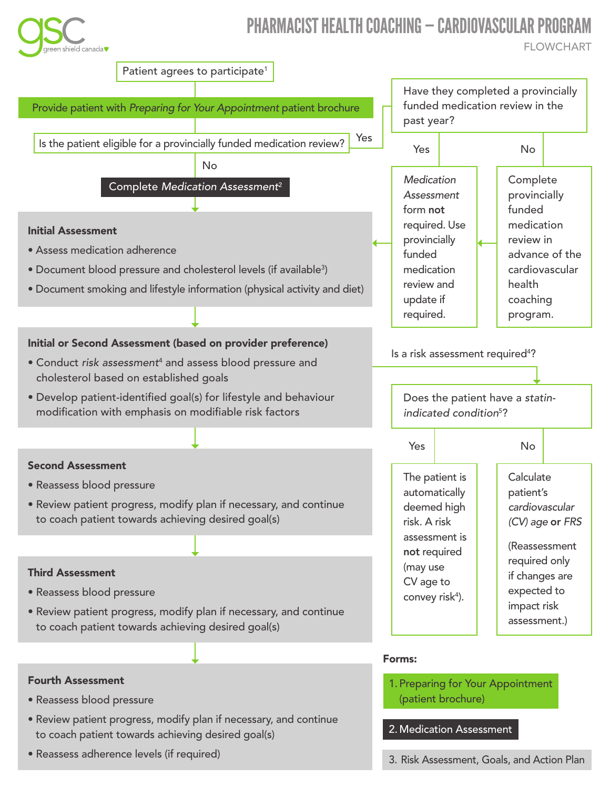

# PHARMACIST HEALTH COACHING — CARDIOVASCULAR PROGRAM

**FLOWCHART**